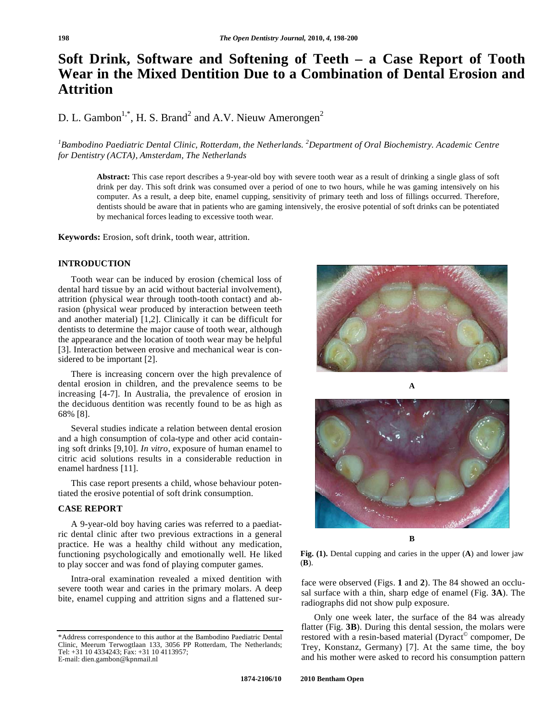# **Soft Drink, Software and Softening of Teeth – a Case Report of Tooth Wear in the Mixed Dentition Due to a Combination of Dental Erosion and Attrition**

D. L. Gambon<sup>1,\*</sup>, H. S. Brand<sup>2</sup> and A.V. Nieuw Amerongen<sup>2</sup>

<sup>1</sup> Bambodino Paediatric Dental Clinic, Rotterdam, the Netherlands. <sup>2</sup> Department of Oral Biochemistry. Academic Centre *for Dentistry (ACTA), Amsterdam, The Netherlands* 

**Abstract:** This case report describes a 9-year-old boy with severe tooth wear as a result of drinking a single glass of soft drink per day. This soft drink was consumed over a period of one to two hours, while he was gaming intensively on his computer. As a result, a deep bite, enamel cupping, sensitivity of primary teeth and loss of fillings occurred. Therefore, dentists should be aware that in patients who are gaming intensively, the erosive potential of soft drinks can be potentiated by mechanical forces leading to excessive tooth wear.

**Keywords:** Erosion, soft drink, tooth wear, attrition.

#### **INTRODUCTION**

Tooth wear can be induced by erosion (chemical loss of dental hard tissue by an acid without bacterial involvement), attrition (physical wear through tooth-tooth contact) and abrasion (physical wear produced by interaction between teeth and another material) [1,2]. Clinically it can be difficult for dentists to determine the major cause of tooth wear, although the appearance and the location of tooth wear may be helpful [3]. Interaction between erosive and mechanical wear is considered to be important [2].

There is increasing concern over the high prevalence of dental erosion in children, and the prevalence seems to be increasing [4-7]. In Australia, the prevalence of erosion in the deciduous dentition was recently found to be as high as 68% [8].

Several studies indicate a relation between dental erosion and a high consumption of cola-type and other acid containing soft drinks [9,10]. *In vitro*, exposure of human enamel to citric acid solutions results in a considerable reduction in enamel hardness [11].

This case report presents a child, whose behaviour potentiated the erosive potential of soft drink consumption.

## **CASE REPORT**

A 9-year-old boy having caries was referred to a paediatric dental clinic after two previous extractions in a general practice. He was a healthy child without any medication, functioning psychologically and emotionally well. He liked to play soccer and was fond of playing computer games.

Intra-oral examination revealed a mixed dentition with severe tooth wear and caries in the primary molars. A deep bite, enamel cupping and attrition signs and a flattened sur-



**A** 



**B** 

**Fig. (1).** Dental cupping and caries in the upper (**A**) and lower jaw (**B**).

face were observed (Figs. **1** and **2**). The 84 showed an occlusal surface with a thin, sharp edge of enamel (Fig. **3A**). The radiographs did not show pulp exposure.

Only one week later, the surface of the 84 was already flatter (Fig. **3B**). During this dental session, the molars were restored with a resin-based material (Dyract<sup>®</sup> compomer, De Trey, Konstanz, Germany) [7]. At the same time, the boy and his mother were asked to record his consumption pattern

<sup>\*</sup>Address correspondence to this author at the Bambodino Paediatric Dental Clinic, Meerum Terwogtlaan 133, 3056 PP Rotterdam, The Netherlands; Tel: +31 10 4334243; Fax: +31 10 4113957; E-mail: dien.gambon@kpnmail.nl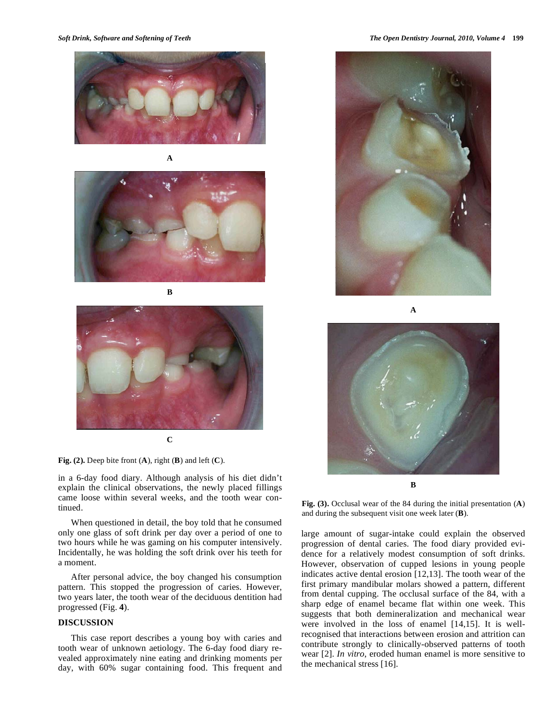

**A** 



**B** 



**Fig. (2).** Deep bite front (**A**), right (**B**) and left (**C**).

in a 6-day food diary. Although analysis of his diet didn't explain the clinical observations, the newly placed fillings came loose within several weeks, and the tooth wear continued.

When questioned in detail, the boy told that he consumed only one glass of soft drink per day over a period of one to two hours while he was gaming on his computer intensively. Incidentally, he was holding the soft drink over his teeth for a moment.

After personal advice, the boy changed his consumption pattern. This stopped the progression of caries. However, two years later, the tooth wear of the deciduous dentition had progressed (Fig. **4**).

## **DISCUSSION**

This case report describes a young boy with caries and tooth wear of unknown aetiology. The 6-day food diary revealed approximately nine eating and drinking moments per day, with 60% sugar containing food. This frequent and



**A** 



**B** 

**Fig. (3).** Occlusal wear of the 84 during the initial presentation (**A**) and during the subsequent visit one week later (**B**).

large amount of sugar-intake could explain the observed progression of dental caries. The food diary provided evidence for a relatively modest consumption of soft drinks. However, observation of cupped lesions in young people indicates active dental erosion [12,13]. The tooth wear of the first primary mandibular molars showed a pattern, different from dental cupping. The occlusal surface of the 84, with a sharp edge of enamel became flat within one week. This suggests that both demineralization and mechanical wear were involved in the loss of enamel [14,15]. It is wellrecognised that interactions between erosion and attrition can contribute strongly to clinically-observed patterns of tooth wear [2]. *In vitro*, eroded human enamel is more sensitive to the mechanical stress [16].